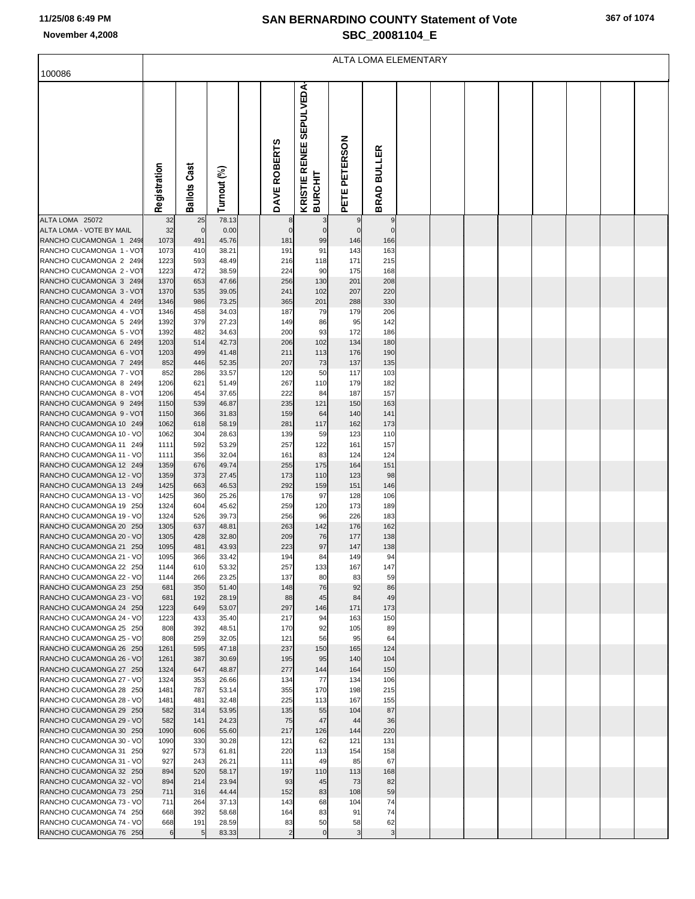## **SAN BERNARDINO COUNTY Statement of Vote November 4,2008 SBC\_20081104\_E**

|                                                     | <b>ALTA LOMA ELEMENTARY</b> |                     |                |  |              |                                 |               |               |  |  |  |  |  |  |  |  |
|-----------------------------------------------------|-----------------------------|---------------------|----------------|--|--------------|---------------------------------|---------------|---------------|--|--|--|--|--|--|--|--|
| 100086                                              |                             |                     |                |  |              |                                 |               |               |  |  |  |  |  |  |  |  |
|                                                     |                             |                     |                |  |              |                                 |               |               |  |  |  |  |  |  |  |  |
|                                                     |                             |                     |                |  |              | <b>SEPULVEDA</b>                |               |               |  |  |  |  |  |  |  |  |
|                                                     |                             |                     |                |  |              |                                 |               |               |  |  |  |  |  |  |  |  |
|                                                     |                             |                     |                |  |              |                                 |               |               |  |  |  |  |  |  |  |  |
|                                                     |                             |                     |                |  |              |                                 |               |               |  |  |  |  |  |  |  |  |
|                                                     |                             |                     |                |  |              |                                 |               |               |  |  |  |  |  |  |  |  |
|                                                     |                             |                     |                |  |              |                                 |               | <b>BULLER</b> |  |  |  |  |  |  |  |  |
|                                                     |                             |                     |                |  |              |                                 |               |               |  |  |  |  |  |  |  |  |
|                                                     |                             |                     |                |  |              |                                 |               |               |  |  |  |  |  |  |  |  |
|                                                     | Registration                | <b>Ballots Cast</b> | Turnout (%)    |  | DAVE ROBERTS | KRISTIE RENEE<br><b>BURCHIT</b> | PETE PETERSON |               |  |  |  |  |  |  |  |  |
|                                                     |                             |                     |                |  |              |                                 |               | <b>BRAD</b>   |  |  |  |  |  |  |  |  |
| ALTA LOMA 25072                                     | 32                          | 25                  | 78.13          |  | 8            |                                 |               | 9             |  |  |  |  |  |  |  |  |
| ALTA LOMA - VOTE BY MAIL                            | 32                          | $\mathbf 0$         | 0.00           |  | $\Omega$     | $\mathbf{0}$                    | $\Omega$      | $\mathbf 0$   |  |  |  |  |  |  |  |  |
| RANCHO CUCAMONGA 1 2498<br>RANCHO CUCAMONGA 1 - VOT | 1073<br>1073                | 491<br>410          | 45.76<br>38.21 |  | 181<br>191   | 99<br>91                        | 146<br>143    | 166<br>163    |  |  |  |  |  |  |  |  |
| RANCHO CUCAMONGA 2 249                              | 1223                        | 593                 | 48.49          |  | 216          | 118                             | 171           | 215           |  |  |  |  |  |  |  |  |
| RANCHO CUCAMONGA 2 - VOT                            | 1223                        | 472                 | 38.59          |  | 224          | 90                              | 175           | 168           |  |  |  |  |  |  |  |  |
| RANCHO CUCAMONGA 3 249                              | 1370                        | 653                 | 47.66          |  | 256          | 130                             | 201           | 208           |  |  |  |  |  |  |  |  |
| RANCHO CUCAMONGA 3 - VOT                            | 1370                        | 535                 | 39.05          |  | 241          | 102                             | 207           | 220           |  |  |  |  |  |  |  |  |
| RANCHO CUCAMONGA 4 249<br>RANCHO CUCAMONGA 4 - VOT  | 1346<br>1346                | 986<br>458          | 73.25<br>34.03 |  | 365<br>187   | 201<br>79                       | 288<br>179    | 330<br>206    |  |  |  |  |  |  |  |  |
| RANCHO CUCAMONGA 5 249                              | 1392                        | 379                 | 27.23          |  | 149          | 86                              | 95            | 142           |  |  |  |  |  |  |  |  |
| RANCHO CUCAMONGA 5 - VOT                            | 1392                        | 482                 | 34.63          |  | 200          | 93                              | 172           | 186           |  |  |  |  |  |  |  |  |
| RANCHO CUCAMONGA 6 249                              | 1203                        | 514                 | 42.73          |  | 206          | 102                             | 134           | 180           |  |  |  |  |  |  |  |  |
| RANCHO CUCAMONGA 6 - VOT                            | 1203                        | 499                 | 41.48          |  | 211          | 113                             | 176           | 190           |  |  |  |  |  |  |  |  |
| RANCHO CUCAMONGA 7 249<br>RANCHO CUCAMONGA 7 - VOT  | 852<br>852                  | 446<br>286          | 52.35<br>33.57 |  | 207<br>120   | 73<br>50                        | 137<br>117    | 135<br>103    |  |  |  |  |  |  |  |  |
| RANCHO CUCAMONGA 8 249                              | 1206                        | 621                 | 51.49          |  | 267          | 110                             | 179           | 182           |  |  |  |  |  |  |  |  |
| RANCHO CUCAMONGA 8 - VOT                            | 1206                        | 454                 | 37.65          |  | 222          | 84                              | 187           | 157           |  |  |  |  |  |  |  |  |
| RANCHO CUCAMONGA 9 249                              | 1150                        | 539                 | 46.87          |  | 235          | 121                             | 150           | 163           |  |  |  |  |  |  |  |  |
| RANCHO CUCAMONGA 9 - VOT                            | 1150                        | 366                 | 31.83          |  | 159          | 64                              | 140           | 141           |  |  |  |  |  |  |  |  |
| RANCHO CUCAMONGA 10 249<br>RANCHO CUCAMONGA 10 - VO | 1062<br>1062                | 618<br>304          | 58.19<br>28.63 |  | 281<br>139   | 117<br>59                       | 162<br>123    | 173<br>110    |  |  |  |  |  |  |  |  |
| RANCHO CUCAMONGA 11 249                             | 1111                        | 592                 | 53.29          |  | 257          | 122                             | 161           | 157           |  |  |  |  |  |  |  |  |
| RANCHO CUCAMONGA 11 - VO                            | 1111                        | 356                 | 32.04          |  | 161          | 83                              | 124           | 124           |  |  |  |  |  |  |  |  |
| RANCHO CUCAMONGA 12 249                             | 1359                        | 676                 | 49.74          |  | 255          | 175                             | 164           | 151           |  |  |  |  |  |  |  |  |
| RANCHO CUCAMONGA 12 - VO                            | 1359                        | 373                 | 27.45          |  | 173          | 110                             | 123           | 98            |  |  |  |  |  |  |  |  |
| RANCHO CUCAMONGA 13 249<br>RANCHO CUCAMONGA 13 - VO | 1425<br>1425                | 663<br>360          | 46.53<br>25.26 |  | 292<br>176   | 159<br>97                       | 151<br>128    | 146<br>106    |  |  |  |  |  |  |  |  |
| RANCHO CUCAMONGA 19 250                             | 1324                        | 604                 | 45.62          |  | 259          | 120                             | 173           | 189           |  |  |  |  |  |  |  |  |
| RANCHO CUCAMONGA 19 - VO                            | 1324                        | 526                 | 39.73          |  | 256          | 96                              | 226           | 183           |  |  |  |  |  |  |  |  |
| RANCHO CUCAMONGA 20 250                             | 1305                        | 637                 | 48.81          |  | 263          | 142                             | 176           | 162           |  |  |  |  |  |  |  |  |
| RANCHO CUCAMONGA 20 - VO<br>RANCHO CUCAMONGA 21 250 | 1305<br>1095                | 428<br>481          | 32.80<br>43.93 |  | 209<br>223   | 76<br>97                        | 177<br>147    | 138<br>138    |  |  |  |  |  |  |  |  |
| RANCHO CUCAMONGA 21 - VO                            | 1095                        | 366                 | 33.42          |  | 194          | 84                              | 149           | 94            |  |  |  |  |  |  |  |  |
| RANCHO CUCAMONGA 22 250                             | 1144                        | 610                 | 53.32          |  | 257          | 133                             | 167           | 147           |  |  |  |  |  |  |  |  |
| RANCHO CUCAMONGA 22 - VO                            | 1144                        | 266                 | 23.25          |  | 137          | 80                              | 83            | 59            |  |  |  |  |  |  |  |  |
| RANCHO CUCAMONGA 23 250                             | 681                         | 350                 | 51.40          |  | 148          | 76                              | 92            | 86            |  |  |  |  |  |  |  |  |
| RANCHO CUCAMONGA 23 - VO<br>RANCHO CUCAMONGA 24 250 | 681<br>1223                 | 192<br>649          | 28.19<br>53.07 |  | 88<br>297    | 45<br>146                       | 84<br>171     | 49<br>173     |  |  |  |  |  |  |  |  |
| RANCHO CUCAMONGA 24 - VO                            | 1223                        | 433                 | 35.40          |  | 217          | 94                              | 163           | 150           |  |  |  |  |  |  |  |  |
| RANCHO CUCAMONGA 25 250                             | 808                         | 392                 | 48.51          |  | 170          | 92                              | 105           | 89            |  |  |  |  |  |  |  |  |
| RANCHO CUCAMONGA 25 - VO                            | 808                         | 259                 | 32.05          |  | 121          | 56                              | 95            | 64            |  |  |  |  |  |  |  |  |
| RANCHO CUCAMONGA 26 250<br>RANCHO CUCAMONGA 26 - VO | 1261                        | 595<br>387          | 47.18          |  | 237          | 150<br>95                       | 165           | 124<br>104    |  |  |  |  |  |  |  |  |
| RANCHO CUCAMONGA 27 250                             | 1261<br>1324                | 647                 | 30.69<br>48.87 |  | 195<br>277   | 144                             | 140<br>164    | 150           |  |  |  |  |  |  |  |  |
| RANCHO CUCAMONGA 27 - VO                            | 1324                        | 353                 | 26.66          |  | 134          | 77                              | 134           | 106           |  |  |  |  |  |  |  |  |
| RANCHO CUCAMONGA 28 250                             | 1481                        | 787                 | 53.14          |  | 355          | 170                             | 198           | 215           |  |  |  |  |  |  |  |  |
| RANCHO CUCAMONGA 28 - VO                            | 1481                        | 481                 | 32.48          |  | 225          | 113                             | 167           | 155           |  |  |  |  |  |  |  |  |
| RANCHO CUCAMONGA 29 250<br>RANCHO CUCAMONGA 29 - VO | 582<br>582                  | 314<br>141          | 53.95          |  | 135          | 55<br>47                        | 104<br>44     | 87<br>36      |  |  |  |  |  |  |  |  |
| RANCHO CUCAMONGA 30 250                             | 1090                        | 606                 | 24.23<br>55.60 |  | 75<br>217    | 126                             | 144           | 220           |  |  |  |  |  |  |  |  |
| RANCHO CUCAMONGA 30 - VO                            | 1090                        | 330                 | 30.28          |  | 121          | 62                              | 121           | 131           |  |  |  |  |  |  |  |  |
| RANCHO CUCAMONGA 31 250                             | 927                         | 573                 | 61.81          |  | 220          | 113                             | 154           | 158           |  |  |  |  |  |  |  |  |
| RANCHO CUCAMONGA 31 - VO                            | 927                         | 243                 | 26.21          |  | 111          | 49                              | 85            | 67            |  |  |  |  |  |  |  |  |
| RANCHO CUCAMONGA 32 250<br>RANCHO CUCAMONGA 32 - VO | 894<br>894                  | 520<br>214          | 58.17<br>23.94 |  | 197<br>93    | 110<br>45                       | 113<br>73     | 168<br>82     |  |  |  |  |  |  |  |  |
| RANCHO CUCAMONGA 73 250                             | 711                         | 316                 | 44.44          |  | 152          | 83                              | 108           | 59            |  |  |  |  |  |  |  |  |
| RANCHO CUCAMONGA 73 - VO                            | 711                         | 264                 | 37.13          |  | 143          | 68                              | 104           | 74            |  |  |  |  |  |  |  |  |
| RANCHO CUCAMONGA 74 250                             | 668                         | 392                 | 58.68          |  | 164          | 83                              | 91            | 74            |  |  |  |  |  |  |  |  |
| RANCHO CUCAMONGA 74 - VO<br>RANCHO CUCAMONGA 76 250 | 668<br>6                    | 191<br>5            | 28.59<br>83.33 |  | 83           | 50<br>$\overline{0}$            | 58<br>3       | 62<br>3       |  |  |  |  |  |  |  |  |
|                                                     |                             |                     |                |  |              |                                 |               |               |  |  |  |  |  |  |  |  |